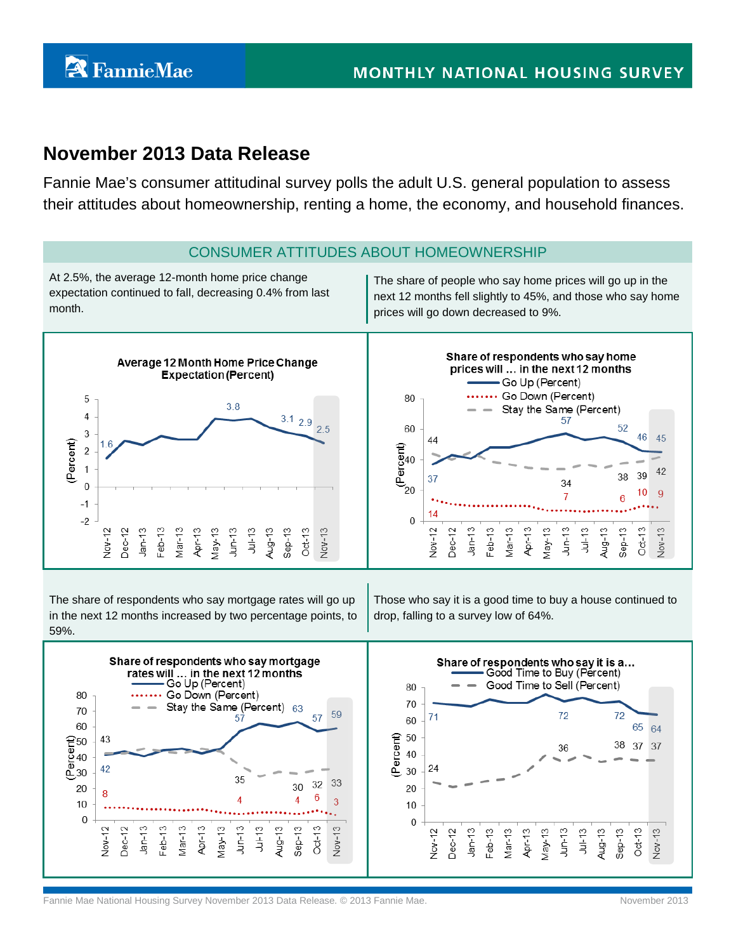## **November 2013 Data Release**

Fannie Mae's consumer attitudinal survey polls the adult U.S. general population to assess their attitudes about homeownership, renting a home, the economy, and household finances.



The share of respondents who say mortgage rates will go up in the next 12 months increased by two percentage points, to 59%.

Those who say it is a good time to buy a house continued to drop, falling to a survey low of 64%.



Fannie Mae National Housing Survey November 2013 Data Release. © 2013 Fannie Mae. November 2013 Fannie Mae Duble 2013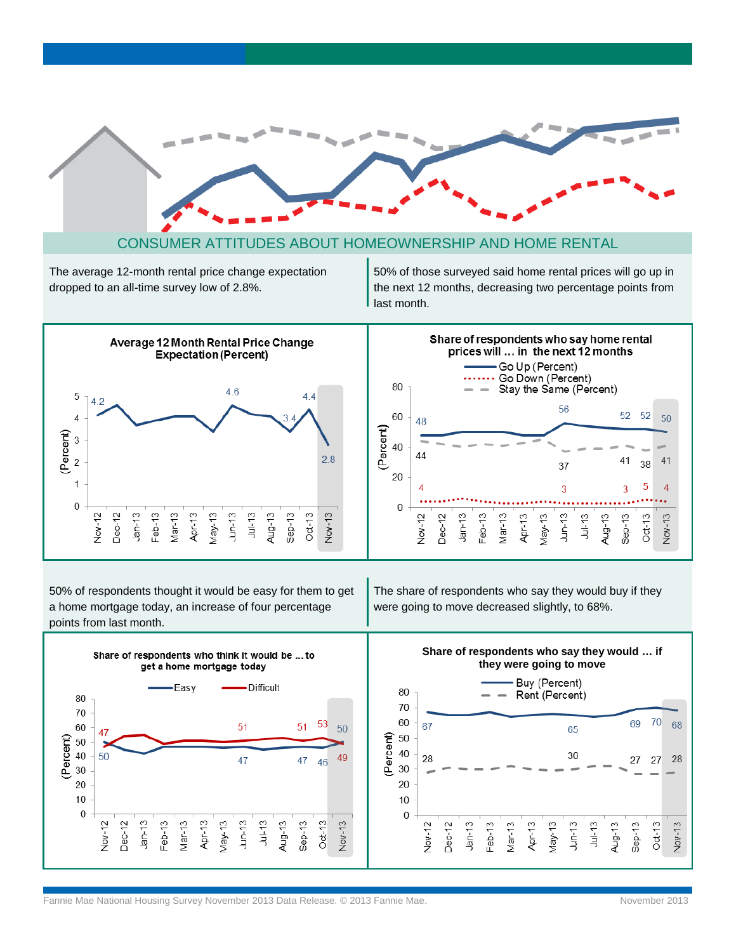

#### CONSUMER ATTITUDES ABOUT HOMEOWNERSHIP AND HOME RENTAL

The average 12-month rental price change expectation dropped to an all-time survey low of 2.8%.

50% of those surveyed said home rental prices will go up in the next 12 months, decreasing two percentage points from last month.



50% of respondents thought it would be easy for them to get a home mortgage today, an increase of four percentage points from last month.

The share of respondents who say they would buy if they were going to move decreased slightly, to 68%.

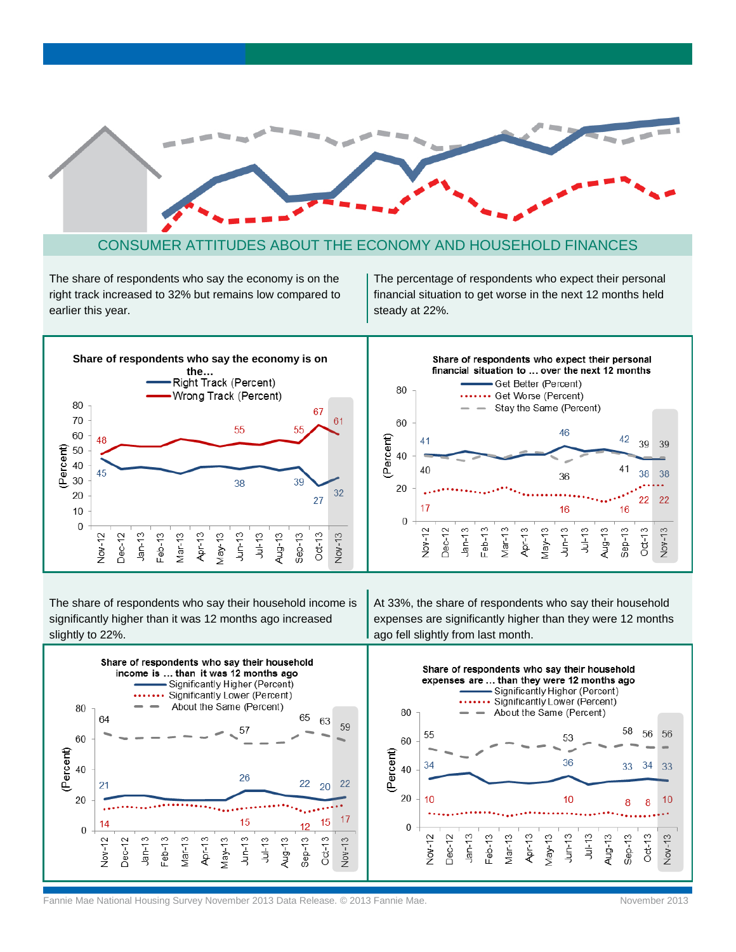

#### CONSUMER ATTITUDES ABOUT THE ECONOMY AND HOUSEHOLD FINANCES

The share of respondents who say the economy is on the right track increased to 32% but remains low compared to earlier this year.

The percentage of respondents who expect their personal financial situation to get worse in the next 12 months held steady at 22%.



The share of respondents who say their household income is significantly higher than it was 12 months ago increased slightly to 22%.



At 33%, the share of respondents who say their household expenses are significantly higher than they were 12 months ago fell slightly from last month.



Fannie Mae National Housing Survey November 2013 Data Release. © 2013 Fannie Mae. November 2013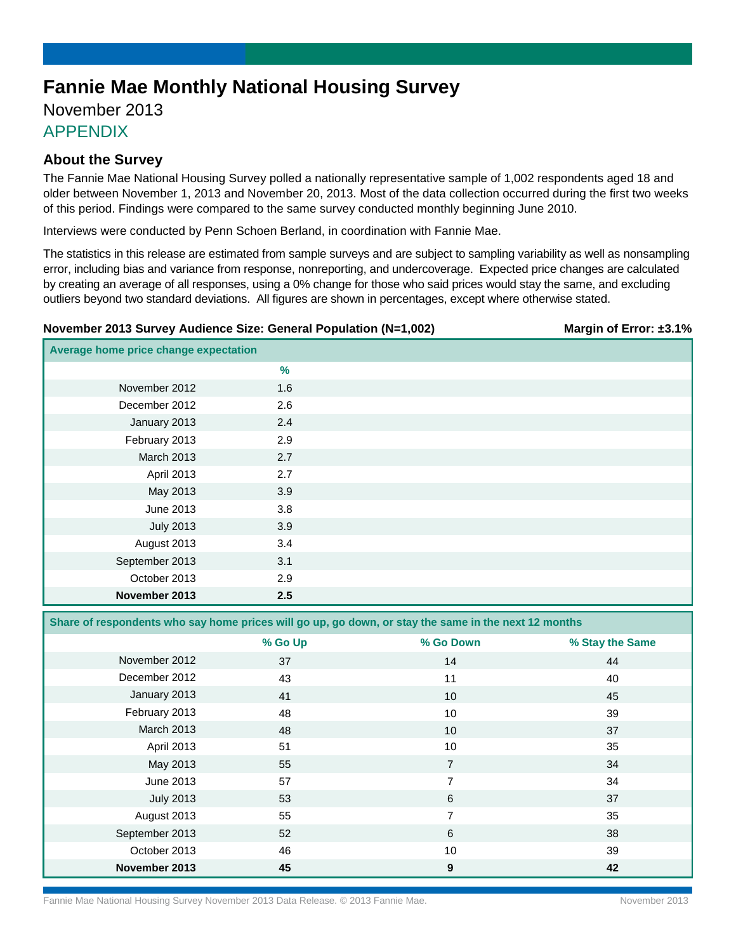# **Fannie Mae Monthly National Housing Survey**

## November 2013 APPENDIX

### **About the Survey**

The Fannie Mae National Housing Survey polled a nationally representative sample of 1,002 respondents aged 18 and older between November 1, 2013 and November 20, 2013. Most of the data collection occurred during the first two weeks of this period. Findings were compared to the same survey conducted monthly beginning June 2010.

Interviews were conducted by Penn Schoen Berland, in coordination with Fannie Mae.

The statistics in this release are estimated from sample surveys and are subject to sampling variability as well as nonsampling error, including bias and variance from response, nonreporting, and undercoverage. Expected price changes are calculated by creating an average of all responses, using a 0% change for those who said prices would stay the same, and excluding outliers beyond two standard deviations. All figures are shown in percentages, except where otherwise stated.

#### **November 2013 Survey Audience Size: General Population (N=1,002) Margin of Error: ±3.1%**

| Average home price change expectation |      |  |
|---------------------------------------|------|--|
|                                       | $\%$ |  |
| November 2012                         | 1.6  |  |
| December 2012                         | 2.6  |  |
| January 2013                          | 2.4  |  |
| February 2013                         | 2.9  |  |
| March 2013                            | 2.7  |  |
| April 2013                            | 2.7  |  |
| May 2013                              | 3.9  |  |
| June 2013                             | 3.8  |  |
| <b>July 2013</b>                      | 3.9  |  |
| August 2013                           | 3.4  |  |
| September 2013                        | 3.1  |  |
| October 2013                          | 2.9  |  |
| November 2013                         | 2.5  |  |

**Share of respondents who say home prices will go up, go down, or stay the same in the next 12 months**

|                  | % Go Up | % Go Down       | % Stay the Same |
|------------------|---------|-----------------|-----------------|
| November 2012    | 37      | 14              | 44              |
| December 2012    | 43      | 11              | 40              |
| January 2013     | 41      | 10 <sup>°</sup> | 45              |
| February 2013    | 48      | 10              | 39              |
| March 2013       | 48      | 10              | 37              |
| April 2013       | 51      | 10              | 35              |
| May 2013         | 55      | 7               | 34              |
| June 2013        | 57      | 7               | 34              |
| <b>July 2013</b> | 53      | 6               | 37              |
| August 2013      | 55      | 7               | 35              |
| September 2013   | 52      | 6               | 38              |
| October 2013     | 46      | 10              | 39              |
| November 2013    | 45      | 9               | 42              |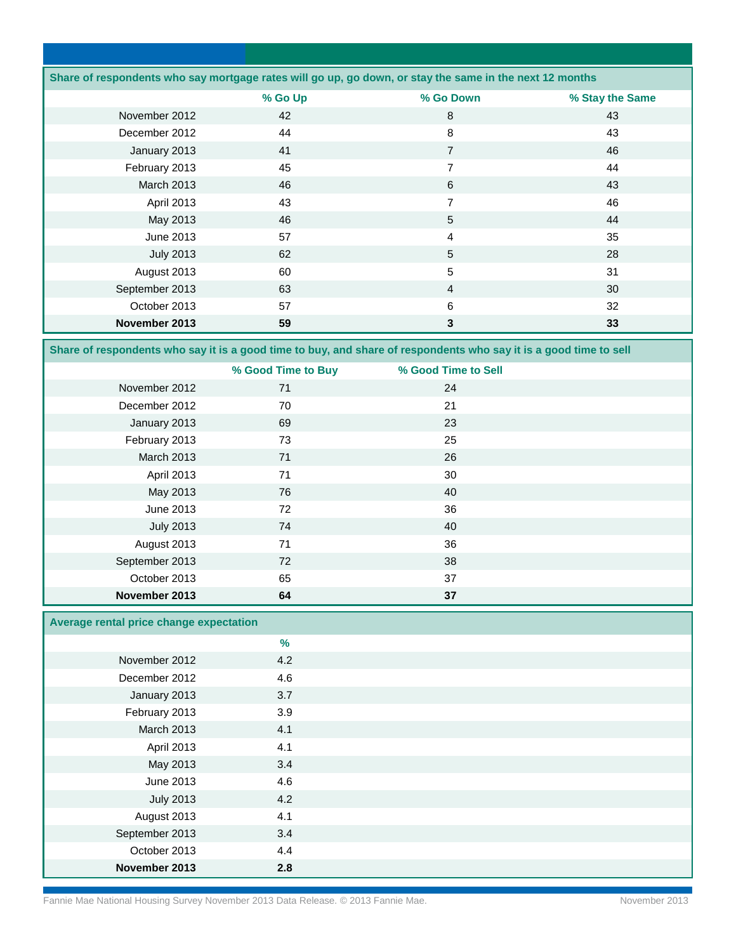| Share of respondents who say mortgage rates will go up, go down, or stay the same in the next 12 months |         |                |                 |  |
|---------------------------------------------------------------------------------------------------------|---------|----------------|-----------------|--|
|                                                                                                         | % Go Up | % Go Down      | % Stay the Same |  |
| November 2012                                                                                           | 42      | 8              | 43              |  |
| December 2012                                                                                           | 44      | 8              | 43              |  |
| January 2013                                                                                            | 41      | $\overline{7}$ | 46              |  |
| February 2013                                                                                           | 45      | 7              | 44              |  |
| <b>March 2013</b>                                                                                       | 46      | 6              | 43              |  |
| April 2013                                                                                              | 43      | $\overline{7}$ | 46              |  |
| May 2013                                                                                                | 46      | 5              | 44              |  |
| June 2013                                                                                               | 57      | $\overline{4}$ | 35              |  |
| <b>July 2013</b>                                                                                        | 62      | 5              | 28              |  |
| August 2013                                                                                             | 60      | 5              | 31              |  |
| September 2013                                                                                          | 63      | $\overline{4}$ | 30              |  |
| October 2013                                                                                            | 57      | 6              | 32              |  |
| November 2013                                                                                           | 59      | 3              | 33              |  |

**Share of respondents who say it is a good time to buy, and share of respondents who say it is a good time to sell**

|                   | % Good Time to Buy | % Good Time to Sell |  |
|-------------------|--------------------|---------------------|--|
| November 2012     | 71                 | 24                  |  |
| December 2012     | 70                 | 21                  |  |
| January 2013      | 69                 | 23                  |  |
| February 2013     | 73                 | 25                  |  |
| <b>March 2013</b> | 71                 | 26                  |  |
| April 2013        | 71                 | 30                  |  |
| May 2013          | 76                 | 40                  |  |
| June 2013         | 72                 | 36                  |  |
| <b>July 2013</b>  | 74                 | 40                  |  |
| August 2013       | 71                 | 36                  |  |
| September 2013    | 72                 | 38                  |  |
| October 2013      | 65                 | 37                  |  |
| November 2013     | 64                 | 37                  |  |

## **Average rental price change expectation**

| Average remain priod change expectation |     |  |
|-----------------------------------------|-----|--|
|                                         | %   |  |
| November 2012                           | 4.2 |  |
| December 2012                           | 4.6 |  |
| January 2013                            | 3.7 |  |
| February 2013                           | 3.9 |  |
| March 2013                              | 4.1 |  |
| April 2013                              | 4.1 |  |
| May 2013                                | 3.4 |  |
| June 2013                               | 4.6 |  |
| <b>July 2013</b>                        | 4.2 |  |
| August 2013                             | 4.1 |  |
| September 2013                          | 3.4 |  |
| October 2013                            | 4.4 |  |
| November 2013                           | 2.8 |  |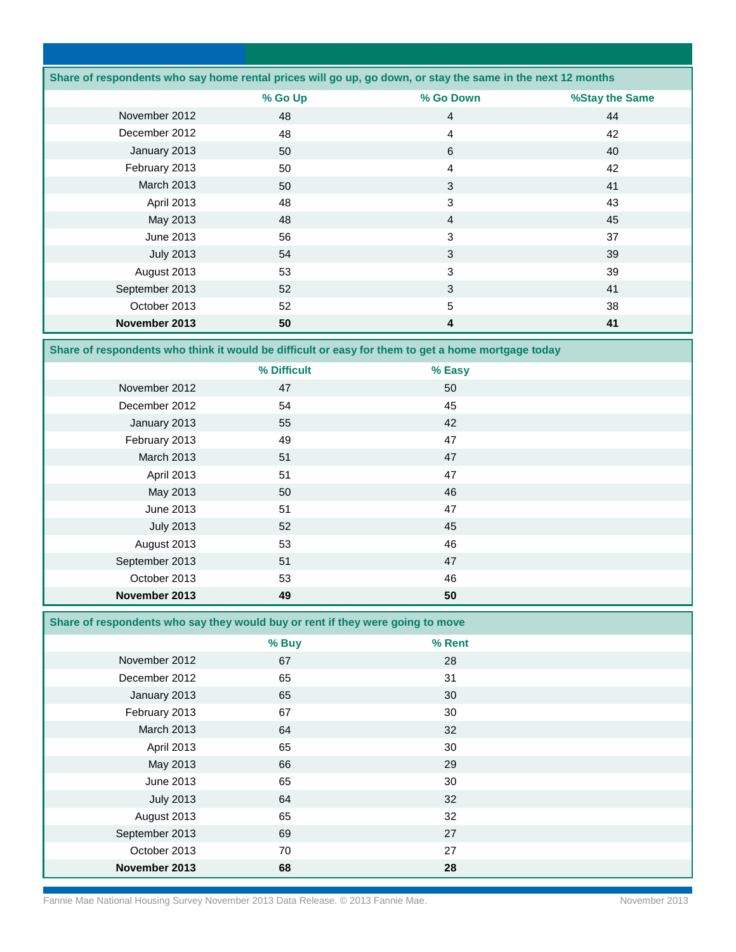|                   |         | Share of respondents who say home rental prices will go up, go down, or stay the same in the next 12 months |                |
|-------------------|---------|-------------------------------------------------------------------------------------------------------------|----------------|
|                   | % Go Up | % Go Down                                                                                                   | %Stay the Same |
| November 2012     | 48      | $\overline{4}$                                                                                              | 44             |
| December 2012     | 48      | $\overline{4}$                                                                                              | 42             |
| January 2013      | 50      | 6                                                                                                           | 40             |
| February 2013     | 50      | $\overline{4}$                                                                                              | 42             |
| <b>March 2013</b> | 50      | 3                                                                                                           | 41             |
| April 2013        | 48      | 3                                                                                                           | 43             |
| May 2013          | 48      | $\overline{4}$                                                                                              | 45             |
| June 2013         | 56      | 3                                                                                                           | 37             |
| <b>July 2013</b>  | 54      | 3                                                                                                           | 39             |
| August 2013       | 53      | 3                                                                                                           | 39             |
| September 2013    | 52      | 3                                                                                                           | 41             |
| October 2013      | 52      | 5                                                                                                           | 38             |
| November 2013     | 50      | 4                                                                                                           | 41             |

**Share of respondents who think it would be difficult or easy for them to get a home mortgage today**

|                  | % Difficult | % Easy |  |
|------------------|-------------|--------|--|
| November 2012    | 47          | 50     |  |
| December 2012    | 54          | 45     |  |
| January 2013     | 55          | 42     |  |
| February 2013    | 49          | 47     |  |
| March 2013       | 51          | 47     |  |
| April 2013       | 51          | 47     |  |
| May 2013         | 50          | 46     |  |
| June 2013        | 51          | 47     |  |
| <b>July 2013</b> | 52          | 45     |  |
| August 2013      | 53          | 46     |  |
| September 2013   | 51          | 47     |  |
| October 2013     | 53          | 46     |  |
| November 2013    | 49          | 50     |  |

**Share of respondents who say they would buy or rent if they were going to move** 

|                  | % Buy | % Rent |  |
|------------------|-------|--------|--|
| November 2012    | 67    | 28     |  |
| December 2012    | 65    | 31     |  |
| January 2013     | 65    | 30     |  |
| February 2013    | 67    | 30     |  |
| March 2013       | 64    | 32     |  |
| April 2013       | 65    | 30     |  |
| May 2013         | 66    | 29     |  |
| June 2013        | 65    | 30     |  |
| <b>July 2013</b> | 64    | 32     |  |
| August 2013      | 65    | 32     |  |
| September 2013   | 69    | 27     |  |
| October 2013     | 70    | 27     |  |
| November 2013    | 68    | 28     |  |

Fannie Mae National Housing Survey November 2013 Data Release. © 2013 Fannie Mae. November 2013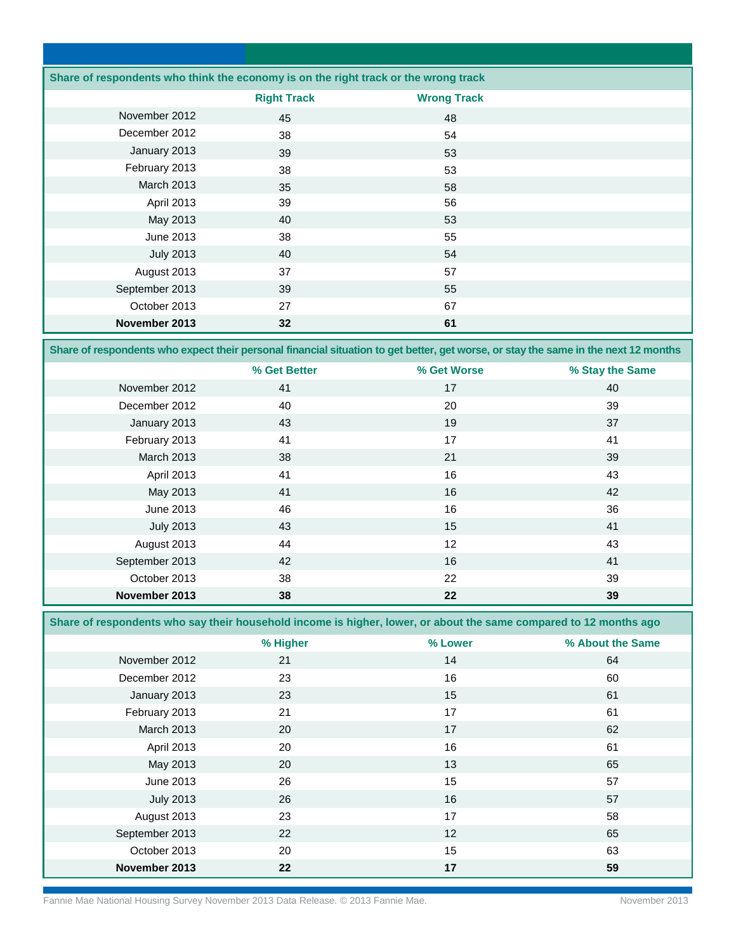| Share of respondents who think the economy is on the right track or the wrong track |                    |                    |  |
|-------------------------------------------------------------------------------------|--------------------|--------------------|--|
|                                                                                     | <b>Right Track</b> | <b>Wrong Track</b> |  |
| November 2012                                                                       | 45                 | 48                 |  |
| December 2012                                                                       | 38                 | 54                 |  |
| January 2013                                                                        | 39                 | 53                 |  |
| February 2013                                                                       | 38                 | 53                 |  |
| <b>March 2013</b>                                                                   | 35                 | 58                 |  |
| April 2013                                                                          | 39                 | 56                 |  |
| May 2013                                                                            | 40                 | 53                 |  |
| June 2013                                                                           | 38                 | 55                 |  |
| <b>July 2013</b>                                                                    | 40                 | 54                 |  |
| August 2013                                                                         | 37                 | 57                 |  |
| September 2013                                                                      | 39                 | 55                 |  |
| October 2013                                                                        | 27                 | 67                 |  |
| November 2013                                                                       | 32                 | 61                 |  |

**Share of respondents who expect their personal financial situation to get better, get worse, or stay the same in the next 12 months**

|                  | % Get Better | % Get Worse | % Stay the Same |
|------------------|--------------|-------------|-----------------|
| November 2012    | 41           | 17          | 40              |
| December 2012    | 40           | 20          | 39              |
| January 2013     | 43           | 19          | 37              |
| February 2013    | 41           | 17          | 41              |
| March 2013       | 38           | 21          | 39              |
| April 2013       | 41           | 16          | 43              |
| May 2013         | 41           | 16          | 42              |
| June 2013        | 46           | 16          | 36              |
| <b>July 2013</b> | 43           | 15          | 41              |
| August 2013      | 44           | 12          | 43              |
| September 2013   | 42           | 16          | 41              |
| October 2013     | 38           | 22          | 39              |
| November 2013    | 38           | 22          | 39              |

**Share of respondents who say their household income is higher, lower, or about the same compared to 12 months ago** 

|                  | % Higher | % Lower | % About the Same |
|------------------|----------|---------|------------------|
| November 2012    | 21       | 14      | 64               |
| December 2012    | 23       | 16      | 60               |
| January 2013     | 23       | 15      | 61               |
| February 2013    | 21       | 17      | 61               |
| March 2013       | 20       | 17      | 62               |
| April 2013       | 20       | 16      | 61               |
| May 2013         | 20       | 13      | 65               |
| June 2013        | 26       | 15      | 57               |
| <b>July 2013</b> | 26       | 16      | 57               |
| August 2013      | 23       | 17      | 58               |
| September 2013   | 22       | 12      | 65               |
| October 2013     | 20       | 15      | 63               |
| November 2013    | 22       | 17      | 59               |

Fannie Mae National Housing Survey November 2013 Data Release. © 2013 Fannie Mae. November 2013